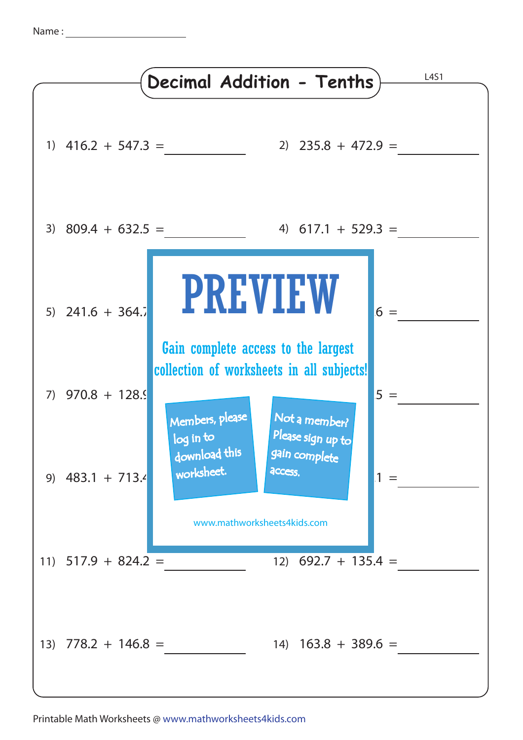